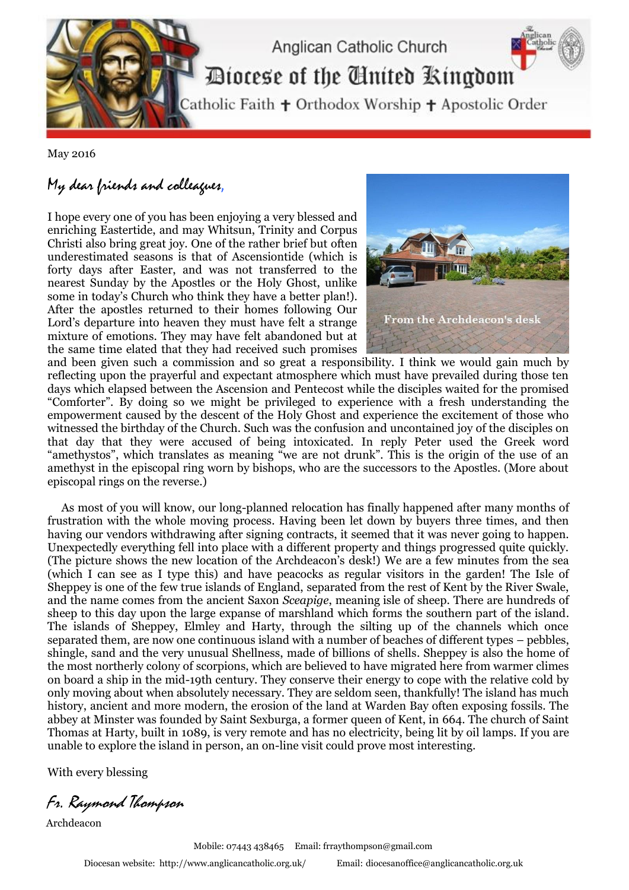

May 2016

## My dear friends and colleagues,

I hope every one of you has been enjoying a very blessed and enriching Eastertide, and may Whitsun, Trinity and Corpus Christi also bring great joy. One of the rather brief but often underestimated seasons is that of Ascensiontide (which is forty days after Easter, and was not transferred to the nearest Sunday by the Apostles or the Holy Ghost, unlike some in today's Church who think they have a better plan!). After the apostles returned to their homes following Our Lord's departure into heaven they must have felt a strange mixture of emotions. They may have felt abandoned but at the same time elated that they had received such promises



and been given such a commission and so great a responsibility. I think we would gain much by reflecting upon the prayerful and expectant atmosphere which must have prevailed during those ten days which elapsed between the Ascension and Pentecost while the disciples waited for the promised "Comforter". By doing so we might be privileged to experience with a fresh understanding the empowerment caused by the descent of the Holy Ghost and experience the excitement of those who witnessed the birthday of the Church. Such was the confusion and uncontained joy of the disciples on that day that they were accused of being intoxicated. In reply Peter used the Greek word "amethystos", which translates as meaning "we are not drunk". This is the origin of the use of an amethyst in the episcopal ring worn by bishops, who are the successors to the Apostles. (More about episcopal rings on the reverse.)

 As most of you will know, our long-planned relocation has finally happened after many months of frustration with the whole moving process. Having been let down by buyers three times, and then having our vendors withdrawing after signing contracts, it seemed that it was never going to happen. Unexpectedly everything fell into place with a different property and things progressed quite quickly. (The picture shows the new location of the Archdeacon's desk!) We are a few minutes from the sea (which I can see as I type this) and have peacocks as regular visitors in the garden! The Isle of Sheppey is one of the few true islands of England, separated from the rest of Kent by the River Swale, and the name comes from the ancient Saxon *Sceapige*, meaning isle of sheep. There are hundreds of sheep to this day upon the large expanse of marshland which forms the southern part of the island. The islands of Sheppey, Elmley and Harty, through the silting up of the channels which once separated them, are now one continuous island with a number of beaches of different types – pebbles, shingle, sand and the very unusual Shellness, made of billions of shells. Sheppey is also the home of the most northerly colony of scorpions, which are believed to have migrated here from warmer climes on board a ship in the mid-19th century. They conserve their energy to cope with the relative cold by only moving about when absolutely necessary. They are seldom seen, thankfully! The island has much history, ancient and more modern, the erosion of the land at Warden Bay often exposing fossils. The abbey at Minster was founded by Saint Sexburga, a former queen of Kent, in 664. The church of Saint Thomas at Harty, built in 1089, is very remote and has no electricity, being lit by oil lamps. If you are unable to explore the island in person, an on-line visit could prove most interesting.

With every blessing

Fr. Raymond Thompson

Archdeacon